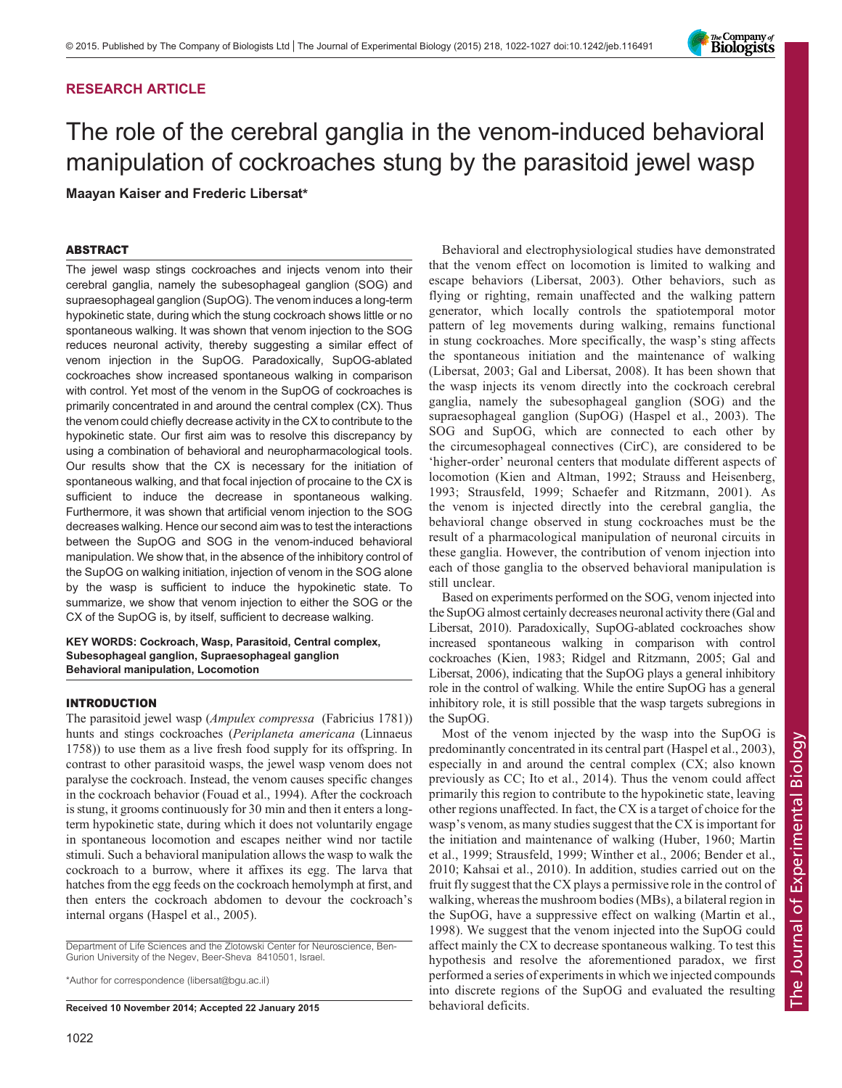# RESEARCH ARTICLE

# The role of the cerebral ganglia in the venom-induced behavioral manipulation of cockroaches stung by the parasitoid jewel wasp

Maayan Kaiser and Frederic Libersat\*

# ABSTRACT

The jewel wasp stings cockroaches and injects venom into their cerebral ganglia, namely the subesophageal ganglion (SOG) and supraesophageal ganglion (SupOG). The venom induces a long-term hypokinetic state, during which the stung cockroach shows little or no spontaneous walking. It was shown that venom injection to the SOG reduces neuronal activity, thereby suggesting a similar effect of venom injection in the SupOG. Paradoxically, SupOG-ablated cockroaches show increased spontaneous walking in comparison with control. Yet most of the venom in the SupOG of cockroaches is primarily concentrated in and around the central complex (CX). Thus the venom could chiefly decrease activity in the CX to contribute to the hypokinetic state. Our first aim was to resolve this discrepancy by using a combination of behavioral and neuropharmacological tools. Our results show that the CX is necessary for the initiation of spontaneous walking, and that focal injection of procaine to the CX is sufficient to induce the decrease in spontaneous walking. Furthermore, it was shown that artificial venom injection to the SOG decreases walking. Hence our second aim was to test the interactions between the SupOG and SOG in the venom-induced behavioral manipulation. We show that, in the absence of the inhibitory control of the SupOG on walking initiation, injection of venom in the SOG alone by the wasp is sufficient to induce the hypokinetic state. To summarize, we show that venom injection to either the SOG or the CX of the SupOG is, by itself, sufficient to decrease walking.

KEY WORDS: Cockroach, Wasp, Parasitoid, Central complex, Subesophageal ganglion, Supraesophageal ganglion Behavioral manipulation, Locomotion

# INTRODUCTION

The parasitoid jewel wasp (Ampulex compressa (Fabricius 1781)) hunts and stings cockroaches (Periplaneta americana (Linnaeus 1758)) to use them as a live fresh food supply for its offspring. In contrast to other parasitoid wasps, the jewel wasp venom does not paralyse the cockroach. Instead, the venom causes specific changes in the cockroach behavior [\(Fouad et al., 1994\)](#page-5-0). After the cockroach is stung, it grooms continuously for 30 min and then it enters a longterm hypokinetic state, during which it does not voluntarily engage in spontaneous locomotion and escapes neither wind nor tactile stimuli. Such a behavioral manipulation allows the wasp to walk the cockroach to a burrow, where it affixes its egg. The larva that hatches from the egg feeds on the cockroach hemolymph at first, and then enters the cockroach abdomen to devour the cockroach's internal organs [\(Haspel et al., 2005\)](#page-5-0).

Department of Life Sciences and the Zlotowski Center for Neuroscience, Ben-Gurion University of the Negev, Beer-Sheva 8410501, Israel.

\*Author for correspondence (libersat@bgu.ac.il)

Received 10 November 2014; Accepted 22 January 2015 behavioral deficits.

Behavioral and electrophysiological studies have demonstrated that the venom effect on locomotion is limited to walking and escape behaviors [\(Libersat, 2003](#page-5-0)). Other behaviors, such as flying or righting, remain unaffected and the walking pattern generator, which locally controls the spatiotemporal motor pattern of leg movements during walking, remains functional in stung cockroaches. More specifically, the wasp's sting affects the spontaneous initiation and the maintenance of walking [\(Libersat, 2003](#page-5-0); [Gal and Libersat, 2008](#page-5-0)). It has been shown that the wasp injects its venom directly into the cockroach cerebral ganglia, namely the subesophageal ganglion (SOG) and the supraesophageal ganglion (SupOG) ([Haspel et al., 2003](#page-5-0)). The SOG and SupOG, which are connected to each other by the circumesophageal connectives (CirC), are considered to be 'higher-order' neuronal centers that modulate different aspects of locomotion ([Kien and Altman, 1992](#page-5-0); [Strauss and Heisenberg,](#page-5-0) [1993](#page-5-0); [Strausfeld, 1999](#page-5-0); [Schaefer and Ritzmann, 2001\)](#page-5-0). As the venom is injected directly into the cerebral ganglia, the behavioral change observed in stung cockroaches must be the result of a pharmacological manipulation of neuronal circuits in these ganglia. However, the contribution of venom injection into each of those ganglia to the observed behavioral manipulation is still unclear.

Based on experiments performed on the SOG, venom injected into the SupOG almost certainly decreases neuronal activity there ([Gal and](#page-5-0) [Libersat, 2010](#page-5-0)). Paradoxically, SupOG-ablated cockroaches show increased spontaneous walking in comparison with control cockroaches ([Kien, 1983; Ridgel and Ritzmann, 2005](#page-5-0); [Gal and](#page-5-0) [Libersat, 2006\)](#page-5-0), indicating that the SupOG plays a general inhibitory role in the control of walking. While the entire SupOG has a general inhibitory role, it is still possible that the wasp targets subregions in the SupOG.

Most of the venom injected by the wasp into the SupOG is predominantly concentrated in its central part [\(Haspel et al., 2003](#page-5-0)), especially in and around the central complex (CX; also known previously as CC; [Ito et al., 2014](#page-5-0)). Thus the venom could affect primarily this region to contribute to the hypokinetic state, leaving other regions unaffected. In fact, the CX is a target of choice for the wasp's venom, as many studies suggest that the CX is important for the initiation and maintenance of walking ([Huber, 1960; Martin](#page-5-0) [et al., 1999; Strausfeld, 1999](#page-5-0); [Winther et al., 2006; Bender et al.,](#page-5-0) [2010](#page-5-0); [Kahsai et al., 2010\)](#page-5-0). In addition, studies carried out on the fruit fly suggest that the CX plays a permissive role in the control of walking, whereas the mushroom bodies (MBs), a bilateral region in the SupOG, have a suppressive effect on walking ([Martin et al.,](#page-5-0) [1998](#page-5-0)). We suggest that the venom injected into the SupOG could affect mainly the CX to decrease spontaneous walking. To test this hypothesis and resolve the aforementioned paradox, we first performed a series of experiments in which we injected compounds into discrete regions of the SupOG and evaluated the resulting

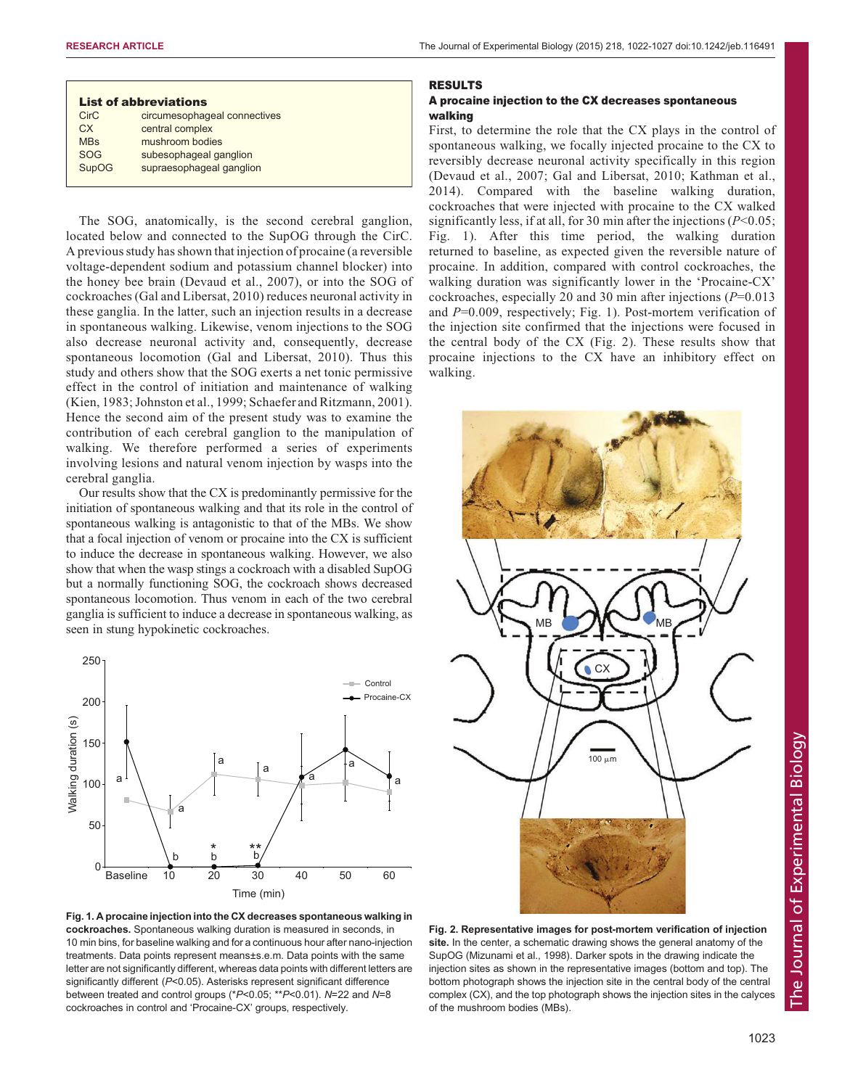<span id="page-1-0"></span>

| <b>List of abbreviations</b> |                              |
|------------------------------|------------------------------|
| <b>CirC</b>                  | circumesophageal connectives |
| CX.                          | central complex              |
| <b>MBs</b>                   | mushroom bodies              |
| SOG                          | subesophageal ganglion       |
| <b>SupOG</b>                 | supraesophageal ganglion     |

The SOG, anatomically, is the second cerebral ganglion, located below and connected to the SupOG through the CirC. A previous study has shown that injection of procaine (a reversible voltage-dependent sodium and potassium channel blocker) into the honey bee brain [\(Devaud et al., 2007](#page-5-0)), or into the SOG of cockroaches [\(Gal and Libersat, 2010\)](#page-5-0) reduces neuronal activity in these ganglia. In the latter, such an injection results in a decrease in spontaneous walking. Likewise, venom injections to the SOG also decrease neuronal activity and, consequently, decrease spontaneous locomotion [\(Gal and Libersat, 2010](#page-5-0)). Thus this study and others show that the SOG exerts a net tonic permissive effect in the control of initiation and maintenance of walking [\(Kien, 1983](#page-5-0); [Johnston et al., 1999;](#page-5-0) [Schaefer and Ritzmann, 2001](#page-5-0)). Hence the second aim of the present study was to examine the contribution of each cerebral ganglion to the manipulation of walking. We therefore performed a series of experiments involving lesions and natural venom injection by wasps into the cerebral ganglia.

Our results show that the CX is predominantly permissive for the initiation of spontaneous walking and that its role in the control of spontaneous walking is antagonistic to that of the MBs. We show that a focal injection of venom or procaine into the CX is sufficient to induce the decrease in spontaneous walking. However, we also show that when the wasp stings a cockroach with a disabled SupOG but a normally functioning SOG, the cockroach shows decreased spontaneous locomotion. Thus venom in each of the two cerebral ganglia is sufficient to induce a decrease in spontaneous walking, as seen in stung hypokinetic cockroaches.



Fig. 1. A procaine injection into the CX decreases spontaneous walking in cockroaches. Spontaneous walking duration is measured in seconds, in 10 min bins, for baseline walking and for a continuous hour after nano-injection treatments. Data points represent means±s.e.m. Data points with the same letter are not significantly different, whereas data points with different letters are significantly different (P<0.05). Asterisks represent significant difference between treated and control groups (\*P<0.05; \*\*P<0.01). N=22 and N=8 cockroaches in control and 'Procaine-CX' groups, respectively.

## RESULTS

# A procaine injection to the CX decreases spontaneous walking

First, to determine the role that the CX plays in the control of spontaneous walking, we focally injected procaine to the CX to reversibly decrease neuronal activity specifically in this region [\(Devaud et al., 2007; Gal and Libersat, 2010; Kathman et al.,](#page-5-0) [2014\)](#page-5-0). Compared with the baseline walking duration, cockroaches that were injected with procaine to the CX walked significantly less, if at all, for 30 min after the injections ( $P<0.05$ ; Fig. 1). After this time period, the walking duration returned to baseline, as expected given the reversible nature of procaine. In addition, compared with control cockroaches, the walking duration was significantly lower in the 'Procaine-CX' cockroaches, especially 20 and 30 min after injections  $(P=0.013)$ and  $P=0.009$ , respectively; Fig. 1). Post-mortem verification of the injection site confirmed that the injections were focused in the central body of the CX (Fig. 2). These results show that procaine injections to the CX have an inhibitory effect on walking.



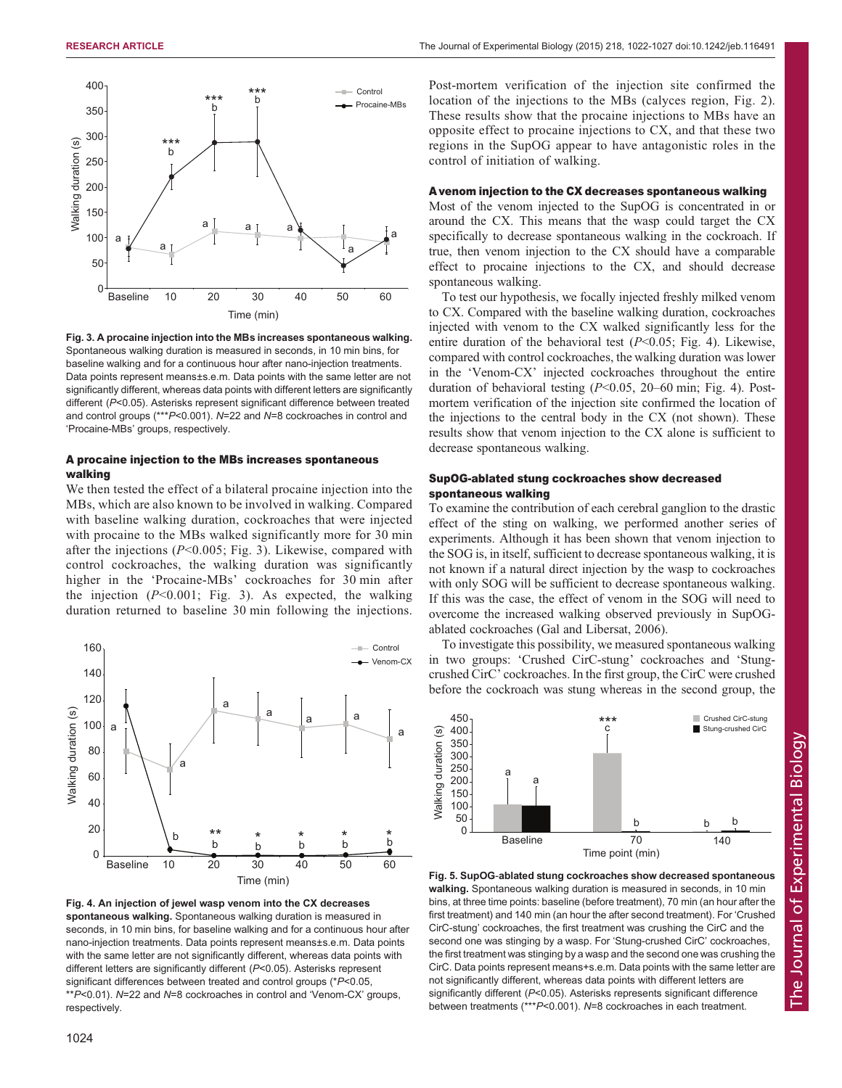<span id="page-2-0"></span>

Fig. 3. A procaine injection into the MBs increases spontaneous walking. Spontaneous walking duration is measured in seconds, in 10 min bins, for baseline walking and for a continuous hour after nano-injection treatments. Data points represent means±s.e.m. Data points with the same letter are not significantly different, whereas data points with different letters are significantly different (P<0.05). Asterisks represent significant difference between treated and control groups (\*\*\*P<0.001). N=22 and N=8 cockroaches in control and 'Procaine-MBs' groups, respectively.

# A procaine injection to the MBs increases spontaneous walking

We then tested the effect of a bilateral procaine injection into the MBs, which are also known to be involved in walking. Compared with baseline walking duration, cockroaches that were injected with procaine to the MBs walked significantly more for 30 min after the injections  $(P<0.005;$  Fig. 3). Likewise, compared with control cockroaches, the walking duration was significantly higher in the 'Procaine-MBs' cockroaches for 30 min after the injection  $(P<0.001$ ; Fig. 3). As expected, the walking duration returned to baseline 30 min following the injections.



Fig. 4. An injection of jewel wasp venom into the CX decreases spontaneous walking. Spontaneous walking duration is measured in seconds, in 10 min bins, for baseline walking and for a continuous hour after nano-injection treatments. Data points represent means±s.e.m. Data points with the same letter are not significantly different, whereas data points with different letters are significantly different (P<0.05). Asterisks represent significant differences between treated and control groups (\*P<0.05, \*\*P<0.01). N=22 and N=8 cockroaches in control and 'Venom-CX' groups, respectively.

Post-mortem verification of the injection site confirmed the location of the injections to the MBs (calyces region, [Fig. 2](#page-1-0)). These results show that the procaine injections to MBs have an opposite effect to procaine injections to CX, and that these two regions in the SupOG appear to have antagonistic roles in the control of initiation of walking.

# A venom injection to the CX decreases spontaneous walking

Most of the venom injected to the SupOG is concentrated in or around the CX. This means that the wasp could target the CX specifically to decrease spontaneous walking in the cockroach. If true, then venom injection to the CX should have a comparable effect to procaine injections to the CX, and should decrease spontaneous walking.

To test our hypothesis, we focally injected freshly milked venom to CX. Compared with the baseline walking duration, cockroaches injected with venom to the CX walked significantly less for the entire duration of the behavioral test  $(P<0.05$ ; Fig. 4). Likewise, compared with control cockroaches, the walking duration was lower in the 'Venom-CX' injected cockroaches throughout the entire duration of behavioral testing  $(P<0.05, 20-60$  min; Fig. 4). Postmortem verification of the injection site confirmed the location of the injections to the central body in the CX (not shown). These results show that venom injection to the CX alone is sufficient to decrease spontaneous walking.

# SupOG-ablated stung cockroaches show decreased spontaneous walking

To examine the contribution of each cerebral ganglion to the drastic effect of the sting on walking, we performed another series of experiments. Although it has been shown that venom injection to the SOG is, in itself, sufficient to decrease spontaneous walking, it is not known if a natural direct injection by the wasp to cockroaches with only SOG will be sufficient to decrease spontaneous walking. If this was the case, the effect of venom in the SOG will need to overcome the increased walking observed previously in SupOGablated cockroaches ([Gal and Libersat, 2006\)](#page-5-0).

To investigate this possibility, we measured spontaneous walking in two groups: 'Crushed CirC-stung' cockroaches and 'Stungcrushed CirC' cockroaches. In the first group, the CirC were crushed before the cockroach was stung whereas in the second group, the



Fig. 5. SupOG-ablated stung cockroaches show decreased spontaneous walking. Spontaneous walking duration is measured in seconds, in 10 min bins, at three time points: baseline (before treatment), 70 min (an hour after the first treatment) and 140 min (an hour the after second treatment). For 'Crushed CirC-stung' cockroaches, the first treatment was crushing the CirC and the second one was stinging by a wasp. For 'Stung-crushed CirC' cockroaches, the first treatment was stinging by a wasp and the second one was crushing the CirC. Data points represent means+s.e.m. Data points with the same letter are not significantly different, whereas data points with different letters are significantly different (P<0.05). Asterisks represents significant difference between treatments (\*\*\*P<0.001). N=8 cockroaches in each treatment.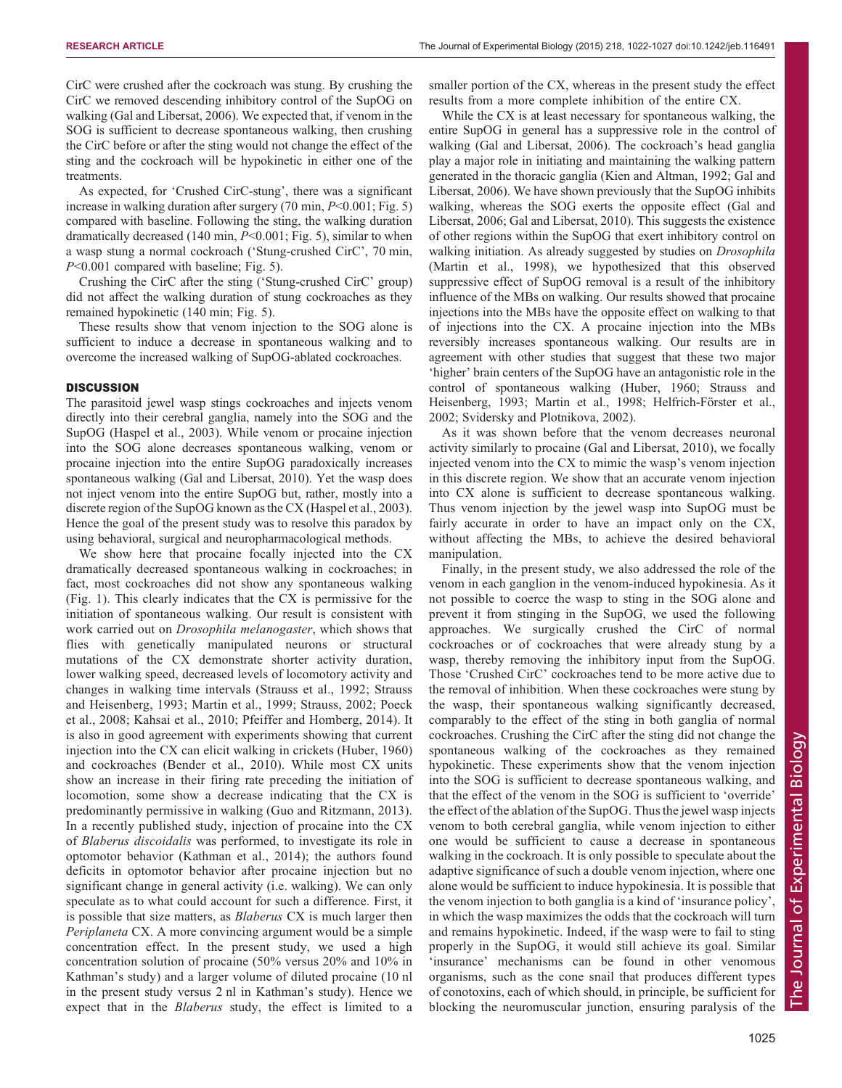CirC were crushed after the cockroach was stung. By crushing the CirC we removed descending inhibitory control of the SupOG on walking [\(Gal and Libersat, 2006](#page-5-0)). We expected that, if venom in the SOG is sufficient to decrease spontaneous walking, then crushing the CirC before or after the sting would not change the effect of the sting and the cockroach will be hypokinetic in either one of the treatments.

As expected, for 'Crushed CirC-stung', there was a significant increase in walking duration after surgery  $(70 \text{ min}, P<0.001; \text{Fig. 5})$ compared with baseline. Following the sting, the walking duration dramatically decreased (140 min,  $P<0.001$ ; [Fig. 5](#page-2-0)), similar to when a wasp stung a normal cockroach ('Stung-crushed CirC', 70 min, P<0.001 compared with baseline; [Fig. 5\)](#page-2-0).

Crushing the CirC after the sting ('Stung-crushed CirC' group) did not affect the walking duration of stung cockroaches as they remained hypokinetic (140 min; [Fig. 5\)](#page-2-0).

These results show that venom injection to the SOG alone is sufficient to induce a decrease in spontaneous walking and to overcome the increased walking of SupOG-ablated cockroaches.

#### **DISCUSSION**

The parasitoid jewel wasp stings cockroaches and injects venom directly into their cerebral ganglia, namely into the SOG and the SupOG ([Haspel et al., 2003](#page-5-0)). While venom or procaine injection into the SOG alone decreases spontaneous walking, venom or procaine injection into the entire SupOG paradoxically increases spontaneous walking ([Gal and Libersat, 2010\)](#page-5-0). Yet the wasp does not inject venom into the entire SupOG but, rather, mostly into a discrete region of the SupOG known as the CX ([Haspel et al., 2003\)](#page-5-0). Hence the goal of the present study was to resolve this paradox by using behavioral, surgical and neuropharmacological methods.

We show here that procaine focally injected into the CX dramatically decreased spontaneous walking in cockroaches; in fact, most cockroaches did not show any spontaneous walking [\(Fig. 1\)](#page-1-0). This clearly indicates that the CX is permissive for the initiation of spontaneous walking. Our result is consistent with work carried out on Drosophila melanogaster, which shows that flies with genetically manipulated neurons or structural mutations of the CX demonstrate shorter activity duration, lower walking speed, decreased levels of locomotory activity and changes in walking time intervals [\(Strauss et al., 1992](#page-5-0); [Strauss](#page-5-0) [and Heisenberg, 1993; Martin et al., 1999; Strauss, 2002](#page-5-0); [Poeck](#page-5-0) [et al., 2008; Kahsai et al., 2010; Pfeiffer and Homberg, 2014\)](#page-5-0). It is also in good agreement with experiments showing that current injection into the CX can elicit walking in crickets [\(Huber, 1960\)](#page-5-0) and cockroaches ([Bender et al., 2010\)](#page-5-0). While most CX units show an increase in their firing rate preceding the initiation of locomotion, some show a decrease indicating that the CX is predominantly permissive in walking ([Guo and Ritzmann, 2013](#page-5-0)). In a recently published study, injection of procaine into the CX of Blaberus discoidalis was performed, to investigate its role in optomotor behavior [\(Kathman et al., 2014](#page-5-0)); the authors found deficits in optomotor behavior after procaine injection but no significant change in general activity (i.e. walking). We can only speculate as to what could account for such a difference. First, it is possible that size matters, as Blaberus CX is much larger then Periplaneta CX. A more convincing argument would be a simple concentration effect. In the present study, we used a high concentration solution of procaine (50% versus 20% and 10% in Kathman's study) and a larger volume of diluted procaine (10 nl in the present study versus 2 nl in Kathman's study). Hence we expect that in the *Blaberus* study, the effect is limited to a

smaller portion of the CX, whereas in the present study the effect results from a more complete inhibition of the entire CX.

While the CX is at least necessary for spontaneous walking, the entire SupOG in general has a suppressive role in the control of walking ([Gal and Libersat, 2006\)](#page-5-0). The cockroach's head ganglia play a major role in initiating and maintaining the walking pattern generated in the thoracic ganglia [\(Kien and Altman, 1992](#page-5-0); [Gal and](#page-5-0) [Libersat, 2006\)](#page-5-0). We have shown previously that the SupOG inhibits walking, whereas the SOG exerts the opposite effect [\(Gal and](#page-5-0) [Libersat, 2006;](#page-5-0) Gal and Libersat, [2010\)](#page-5-0). This suggests the existence of other regions within the SupOG that exert inhibitory control on walking initiation. As already suggested by studies on Drosophila [\(Martin et al., 1998\)](#page-5-0), we hypothesized that this observed suppressive effect of SupOG removal is a result of the inhibitory influence of the MBs on walking. Our results showed that procaine injections into the MBs have the opposite effect on walking to that of injections into the CX. A procaine injection into the MBs reversibly increases spontaneous walking. Our results are in agreement with other studies that suggest that these two major 'higher' brain centers of the SupOG have an antagonistic role in the control of spontaneous walking ([Huber, 1960; Strauss and](#page-5-0) [Heisenberg, 1993](#page-5-0); [Martin et al., 1998](#page-5-0); [Helfrich-Förster et al.,](#page-5-0) [2002; Svidersky and Plotnikova, 2002](#page-5-0)).

As it was shown before that the venom decreases neuronal activity similarly to procaine ([Gal and Libersat, 2010](#page-5-0)), we focally injected venom into the CX to mimic the wasp's venom injection in this discrete region. We show that an accurate venom injection into CX alone is sufficient to decrease spontaneous walking. Thus venom injection by the jewel wasp into SupOG must be fairly accurate in order to have an impact only on the CX, without affecting the MBs, to achieve the desired behavioral manipulation.

Finally, in the present study, we also addressed the role of the venom in each ganglion in the venom-induced hypokinesia. As it not possible to coerce the wasp to sting in the SOG alone and prevent it from stinging in the SupOG, we used the following approaches. We surgically crushed the CirC of normal cockroaches or of cockroaches that were already stung by a wasp, thereby removing the inhibitory input from the SupOG. Those 'Crushed CirC' cockroaches tend to be more active due to the removal of inhibition. When these cockroaches were stung by the wasp, their spontaneous walking significantly decreased, comparably to the effect of the sting in both ganglia of normal cockroaches. Crushing the CirC after the sting did not change the spontaneous walking of the cockroaches as they remained hypokinetic. These experiments show that the venom injection into the SOG is sufficient to decrease spontaneous walking, and that the effect of the venom in the SOG is sufficient to 'override' the effect of the ablation of the SupOG. Thus the jewel wasp injects venom to both cerebral ganglia, while venom injection to either one would be sufficient to cause a decrease in spontaneous walking in the cockroach. It is only possible to speculate about the adaptive significance of such a double venom injection, where one alone would be sufficient to induce hypokinesia. It is possible that the venom injection to both ganglia is a kind of 'insurance policy', in which the wasp maximizes the odds that the cockroach will turn and remains hypokinetic. Indeed, if the wasp were to fail to sting properly in the SupOG, it would still achieve its goal. Similar 'insurance' mechanisms can be found in other venomous organisms, such as the cone snail that produces different types of conotoxins, each of which should, in principle, be sufficient for blocking the neuromuscular junction, ensuring paralysis of the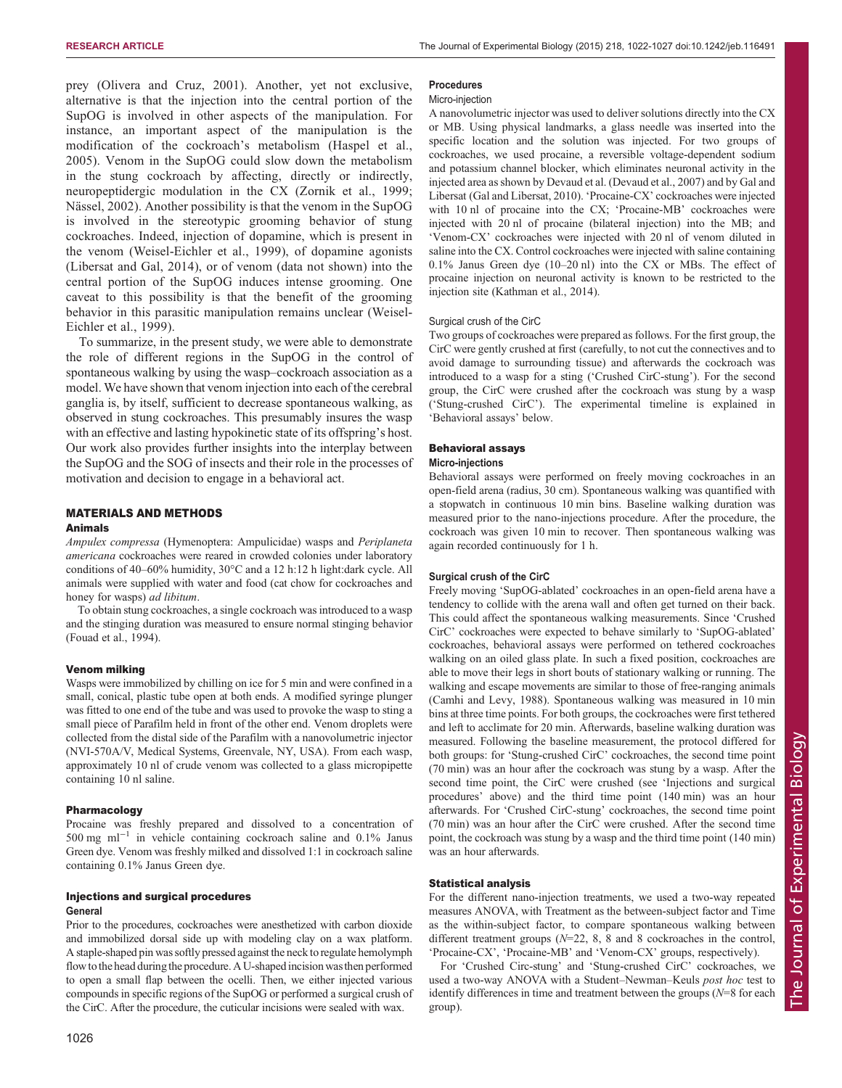prey ([Olivera and Cruz, 2001](#page-5-0)). Another, yet not exclusive, alternative is that the injection into the central portion of the SupOG is involved in other aspects of the manipulation. For instance, an important aspect of the manipulation is the modification of the cockroach's metabolism ([Haspel et al.,](#page-5-0) [2005](#page-5-0)). Venom in the SupOG could slow down the metabolism in the stung cockroach by affecting, directly or indirectly, neuropeptidergic modulation in the CX ([Zornik et al., 1999](#page-5-0); [Nässel, 2002\)](#page-5-0). Another possibility is that the venom in the SupOG is involved in the stereotypic grooming behavior of stung cockroaches. Indeed, injection of dopamine, which is present in the venom [\(Weisel-Eichler et al., 1999\)](#page-5-0), of dopamine agonists [\(Libersat and Gal, 2014](#page-5-0)), or of venom (data not shown) into the central portion of the SupOG induces intense grooming. One caveat to this possibility is that the benefit of the grooming behavior in this parasitic manipulation remains unclear ([Weisel-](#page-5-0)[Eichler et al., 1999\)](#page-5-0).

To summarize, in the present study, we were able to demonstrate the role of different regions in the SupOG in the control of spontaneous walking by using the wasp–cockroach association as a model. We have shown that venom injection into each of the cerebral ganglia is, by itself, sufficient to decrease spontaneous walking, as observed in stung cockroaches. This presumably insures the wasp with an effective and lasting hypokinetic state of its offspring's host. Our work also provides further insights into the interplay between the SupOG and the SOG of insects and their role in the processes of motivation and decision to engage in a behavioral act.

# MATERIALS AND METHODS

## Animals

Ampulex compressa (Hymenoptera: Ampulicidae) wasps and Periplaneta americana cockroaches were reared in crowded colonies under laboratory conditions of 40–60% humidity, 30°C and a 12 h:12 h light:dark cycle. All animals were supplied with water and food (cat chow for cockroaches and honey for wasps) ad libitum.

To obtain stung cockroaches, a single cockroach was introduced to a wasp and the stinging duration was measured to ensure normal stinging behavior ([Fouad et al., 1994](#page-5-0)).

#### Venom milking

Wasps were immobilized by chilling on ice for 5 min and were confined in a small, conical, plastic tube open at both ends. A modified syringe plunger was fitted to one end of the tube and was used to provoke the wasp to sting a small piece of Parafilm held in front of the other end. Venom droplets were collected from the distal side of the Parafilm with a nanovolumetric injector (NVI-570A/V, Medical Systems, Greenvale, NY, USA). From each wasp, approximately 10 nl of crude venom was collected to a glass micropipette containing 10 nl saline.

#### **Pharmacology**

Procaine was freshly prepared and dissolved to a concentration of 500 mg ml−<sup>1</sup> in vehicle containing cockroach saline and 0.1% Janus Green dye. Venom was freshly milked and dissolved 1:1 in cockroach saline containing 0.1% Janus Green dye.

# Injections and surgical procedures General

Prior to the procedures, cockroaches were anesthetized with carbon dioxide and immobilized dorsal side up with modeling clay on a wax platform. A staple-shaped pin was softly pressed against the neck to regulate hemolymph flow to the head during the procedure. A U-shaped incision was then performed to open a small flap between the ocelli. Then, we either injected various compounds in specific regions of the SupOG or performed a surgical crush of the CirC. After the procedure, the cuticular incisions were sealed with wax.

## Procedures

#### Micro-injection

A nanovolumetric injector was used to deliver solutions directly into the CX or MB. Using physical landmarks, a glass needle was inserted into the specific location and the solution was injected. For two groups of cockroaches, we used procaine, a reversible voltage-dependent sodium and potassium channel blocker, which eliminates neuronal activity in the injected area as shown by [Devaud et al. \(Devaud et al., 2007\)](#page-5-0) and by [Gal and](#page-5-0) [Libersat \(Gal and Libersat, 2010\)](#page-5-0). 'Procaine-CX' cockroaches were injected with 10 nl of procaine into the CX; 'Procaine-MB' cockroaches were injected with 20 nl of procaine (bilateral injection) into the MB; and 'Venom-CX' cockroaches were injected with 20 nl of venom diluted in saline into the CX. Control cockroaches were injected with saline containing 0.1% Janus Green dye (10–20 nl) into the CX or MBs. The effect of procaine injection on neuronal activity is known to be restricted to the injection site ([Kathman et al., 2014\)](#page-5-0).

#### Surgical crush of the CirC

Two groups of cockroaches were prepared as follows. For the first group, the CirC were gently crushed at first (carefully, to not cut the connectives and to avoid damage to surrounding tissue) and afterwards the cockroach was introduced to a wasp for a sting ('Crushed CirC-stung'). For the second group, the CirC were crushed after the cockroach was stung by a wasp ('Stung-crushed CirC'). The experimental timeline is explained in 'Behavioral assays' below.

#### Behavioral assays

## Micro-injections

Behavioral assays were performed on freely moving cockroaches in an open-field arena (radius, 30 cm). Spontaneous walking was quantified with a stopwatch in continuous 10 min bins. Baseline walking duration was measured prior to the nano-injections procedure. After the procedure, the cockroach was given 10 min to recover. Then spontaneous walking was again recorded continuously for 1 h.

## Surgical crush of the CirC

Freely moving 'SupOG-ablated' cockroaches in an open-field arena have a tendency to collide with the arena wall and often get turned on their back. This could affect the spontaneous walking measurements. Since 'Crushed CirC' cockroaches were expected to behave similarly to 'SupOG-ablated' cockroaches, behavioral assays were performed on tethered cockroaches walking on an oiled glass plate. In such a fixed position, cockroaches are able to move their legs in short bouts of stationary walking or running. The walking and escape movements are similar to those of free-ranging animals ([Camhi and Levy, 1988](#page-5-0)). Spontaneous walking was measured in 10 min bins at three time points. For both groups, the cockroaches were first tethered and left to acclimate for 20 min. Afterwards, baseline walking duration was measured. Following the baseline measurement, the protocol differed for both groups: for 'Stung-crushed CirC' cockroaches, the second time point (70 min) was an hour after the cockroach was stung by a wasp. After the second time point, the CirC were crushed (see 'Injections and surgical procedures' above) and the third time point (140 min) was an hour afterwards. For 'Crushed CirC-stung' cockroaches, the second time point (70 min) was an hour after the CirC were crushed. After the second time point, the cockroach was stung by a wasp and the third time point (140 min) was an hour afterwards.

#### Statistical analysis

For the different nano-injection treatments, we used a two-way repeated measures ANOVA, with Treatment as the between-subject factor and Time as the within-subject factor, to compare spontaneous walking between different treatment groups  $(N=22, 8, 8, 8, 8)$  and 8 cockroaches in the control, 'Procaine-CX', 'Procaine-MB' and 'Venom-CX' groups, respectively).

For 'Crushed Circ-stung' and 'Stung-crushed CirC' cockroaches, we used a two-way ANOVA with a Student–Newman–Keuls post hoc test to identify differences in time and treatment between the groups  $(N=8$  for each group).